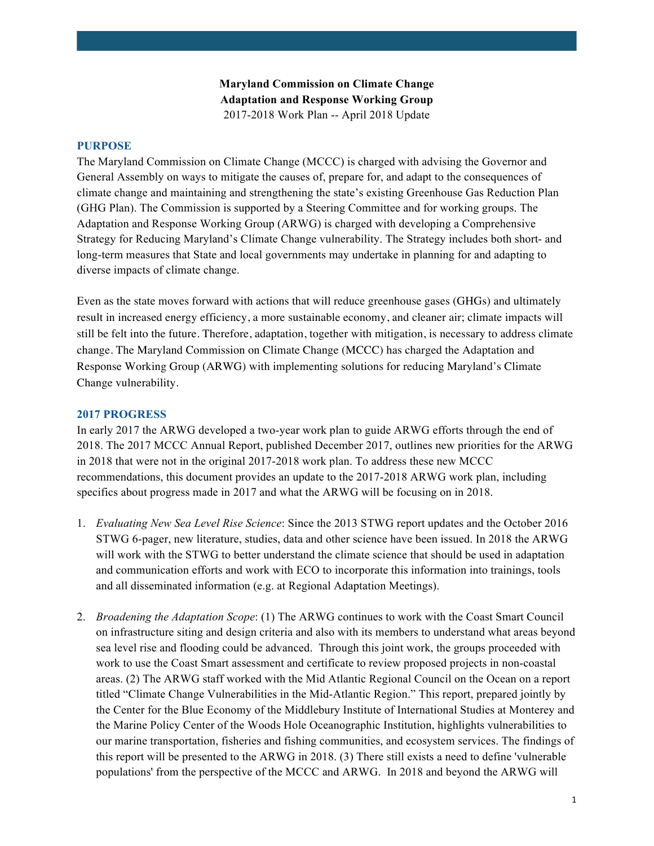## **Maryland Commission on Climate Change Adaptation and Response Working Group** 2017-2018 Work Plan -- April 2018 Update

### **PURPOSE**

The Maryland Commission on Climate Change (MCCC) is charged with advising the Governor and General Assembly on ways to mitigate the causes of, prepare for, and adapt to the consequences of climate change and maintaining and strengthening the state's existing Greenhouse Gas Reduction Plan (GHG Plan). The Commission is supported by a Steering Committee and for working groups. The Adaptation and Response Working Group (ARWG) is charged with developing a Comprehensive Strategy for Reducing Maryland's Climate Change vulnerability. The Strategy includes both short- and long-term measures that State and local governments may undertake in planning for and adapting to diverse impacts of climate change.

Even as the state moves forward with actions that will reduce greenhouse gases (GHGs) and ultimately result in increased energy efficiency, a more sustainable economy, and cleaner air; climate impacts will still be felt into the future. Therefore, adaptation, together with mitigation, is necessary to address climate change. The Maryland Commission on Climate Change (MCCC) has charged the Adaptation and Response Working Group (ARWG) with implementing solutions for reducing Maryland's Climate Change vulnerability.

### **2017 PROGRESS**

In early 2017 the ARWG developed a two-year work plan to guide ARWG efforts through the end of 2018. The 2017 MCCC Annual Report, published December 2017, outlines new priorities for the ARWG in 2018 that were not in the original 2017-2018 work plan. To address these new MCCC recommendations, this document provides an update to the 2017-2018 ARWG work plan, including specifics about progress made in 2017 and what the ARWG will be focusing on in 2018.

- 1. *Evaluating New Sea Level Rise Science*: Since the 2013 STWG report updates and the October 2016 STWG 6-pager, new literature, studies, data and other science have been issued. In 2018 the ARWG will work with the STWG to better understand the climate science that should be used in adaptation and communication efforts and work with ECO to incorporate this information into trainings, tools and all disseminated information (e.g. at Regional Adaptation Meetings).
- 2. *Broadening the Adaptation Scope*: (1) The ARWG continues to work with the Coast Smart Council on infrastructure siting and design criteria and also with its members to understand what areas beyond sea level rise and flooding could be advanced. Through this joint work, the groups proceeded with work to use the Coast Smart assessment and certificate to review proposed projects in non-coastal areas. (2) The ARWG staff worked with the Mid Atlantic Regional Council on the Ocean on a report titled "Climate Change Vulnerabilities in the Mid-Atlantic Region." This report, prepared jointly by the Center for the Blue Economy of the Middlebury Institute of International Studies at Monterey and the Marine Policy Center of the Woods Hole Oceanographic Institution, highlights vulnerabilities to our marine transportation, fisheries and fishing communities, and ecosystem services. The findings of this report will be presented to the ARWG in 2018. (3) There still exists a need to define 'vulnerable populations' from the perspective of the MCCC and ARWG. In 2018 and beyond the ARWG will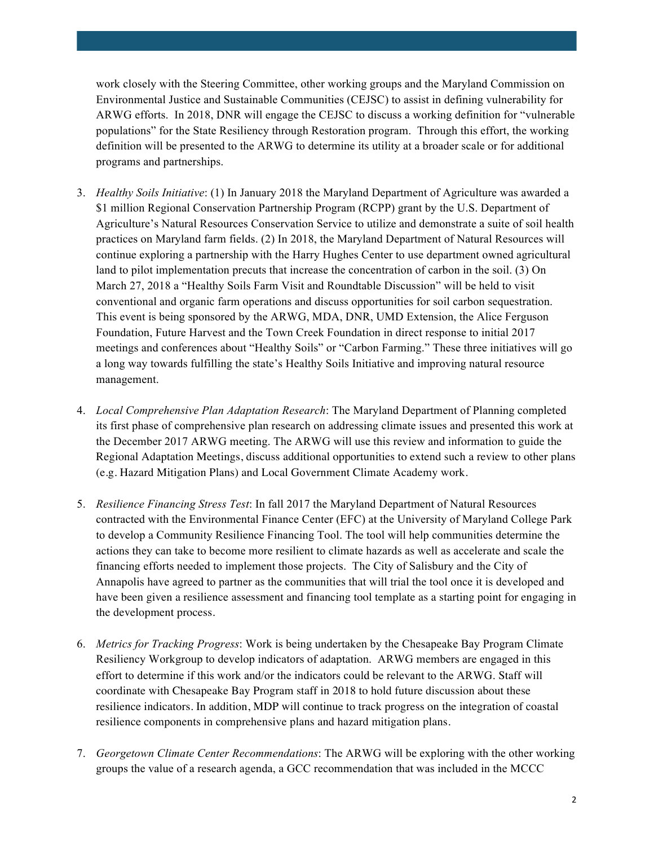work closely with the Steering Committee, other working groups and the Maryland Commission on Environmental Justice and Sustainable Communities (CEJSC) to assist in defining vulnerability for ARWG efforts. In 2018, DNR will engage the CEJSC to discuss a working definition for "vulnerable populations" for the State Resiliency through Restoration program. Through this effort, the working definition will be presented to the ARWG to determine its utility at a broader scale or for additional programs and partnerships.

- 3. *Healthy Soils Initiative*: (1) In January 2018 the Maryland Department of Agriculture was awarded a \$1 million Regional Conservation Partnership Program (RCPP) grant by the U.S. Department of Agriculture's Natural Resources Conservation Service to utilize and demonstrate a suite of soil health practices on Maryland farm fields. (2) In 2018, the Maryland Department of Natural Resources will continue exploring a partnership with the Harry Hughes Center to use department owned agricultural land to pilot implementation precuts that increase the concentration of carbon in the soil. (3) On March 27, 2018 a "Healthy Soils Farm Visit and Roundtable Discussion" will be held to visit conventional and organic farm operations and discuss opportunities for soil carbon sequestration. This event is being sponsored by the ARWG, MDA, DNR, UMD Extension, the Alice Ferguson Foundation, Future Harvest and the Town Creek Foundation in direct response to initial 2017 meetings and conferences about "Healthy Soils" or "Carbon Farming." These three initiatives will go a long way towards fulfilling the state's Healthy Soils Initiative and improving natural resource management.
- 4. *Local Comprehensive Plan Adaptation Research*: The Maryland Department of Planning completed its first phase of comprehensive plan research on addressing climate issues and presented this work at the December 2017 ARWG meeting. The ARWG will use this review and information to guide the Regional Adaptation Meetings, discuss additional opportunities to extend such a review to other plans (e.g. Hazard Mitigation Plans) and Local Government Climate Academy work.
- 5. *Resilience Financing Stress Test*: In fall 2017 the Maryland Department of Natural Resources contracted with the Environmental Finance Center (EFC) at the University of Maryland College Park to develop a Community Resilience Financing Tool. The tool will help communities determine the actions they can take to become more resilient to climate hazards as well as accelerate and scale the financing efforts needed to implement those projects. The City of Salisbury and the City of Annapolis have agreed to partner as the communities that will trial the tool once it is developed and have been given a resilience assessment and financing tool template as a starting point for engaging in the development process.
- 6. *Metrics for Tracking Progress*: Work is being undertaken by the Chesapeake Bay Program Climate Resiliency Workgroup to develop indicators of adaptation. ARWG members are engaged in this effort to determine if this work and/or the indicators could be relevant to the ARWG. Staff will coordinate with Chesapeake Bay Program staff in 2018 to hold future discussion about these resilience indicators. In addition, MDP will continue to track progress on the integration of coastal resilience components in comprehensive plans and hazard mitigation plans.
- 7. *Georgetown Climate Center Recommendations*: The ARWG will be exploring with the other working groups the value of a research agenda, a GCC recommendation that was included in the MCCC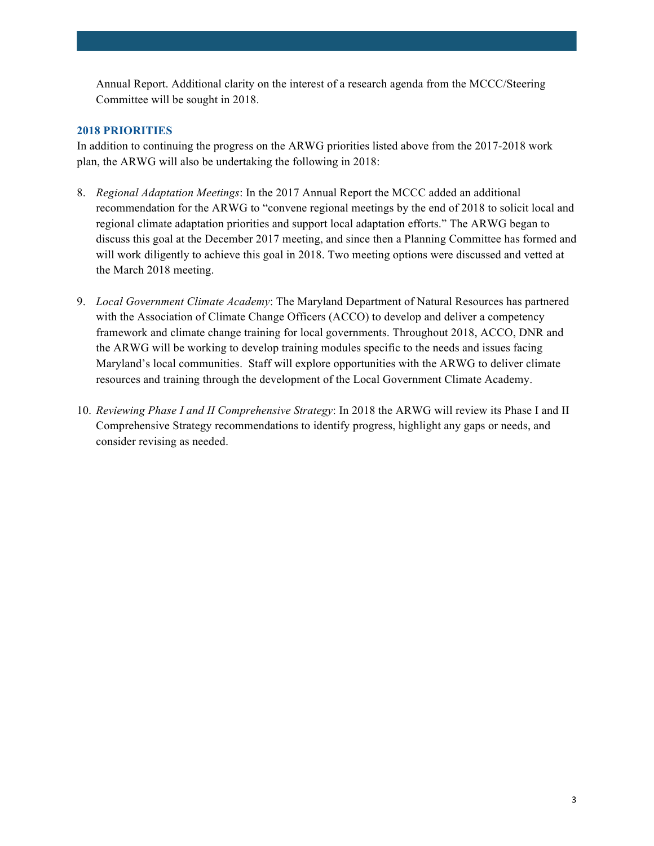Annual Report. Additional clarity on the interest of a research agenda from the MCCC/Steering Committee will be sought in 2018.

## **2018 PRIORITIES**

In addition to continuing the progress on the ARWG priorities listed above from the 2017-2018 work plan, the ARWG will also be undertaking the following in 2018:

- 8. *Regional Adaptation Meetings*: In the 2017 Annual Report the MCCC added an additional recommendation for the ARWG to "convene regional meetings by the end of 2018 to solicit local and regional climate adaptation priorities and support local adaptation efforts." The ARWG began to discuss this goal at the December 2017 meeting, and since then a Planning Committee has formed and will work diligently to achieve this goal in 2018. Two meeting options were discussed and vetted at the March 2018 meeting.
- 9. *Local Government Climate Academy*: The Maryland Department of Natural Resources has partnered with the Association of Climate Change Officers (ACCO) to develop and deliver a competency framework and climate change training for local governments. Throughout 2018, ACCO, DNR and the ARWG will be working to develop training modules specific to the needs and issues facing Maryland's local communities. Staff will explore opportunities with the ARWG to deliver climate resources and training through the development of the Local Government Climate Academy.
- 10. *Reviewing Phase I and II Comprehensive Strategy*: In 2018 the ARWG will review its Phase I and II Comprehensive Strategy recommendations to identify progress, highlight any gaps or needs, and consider revising as needed.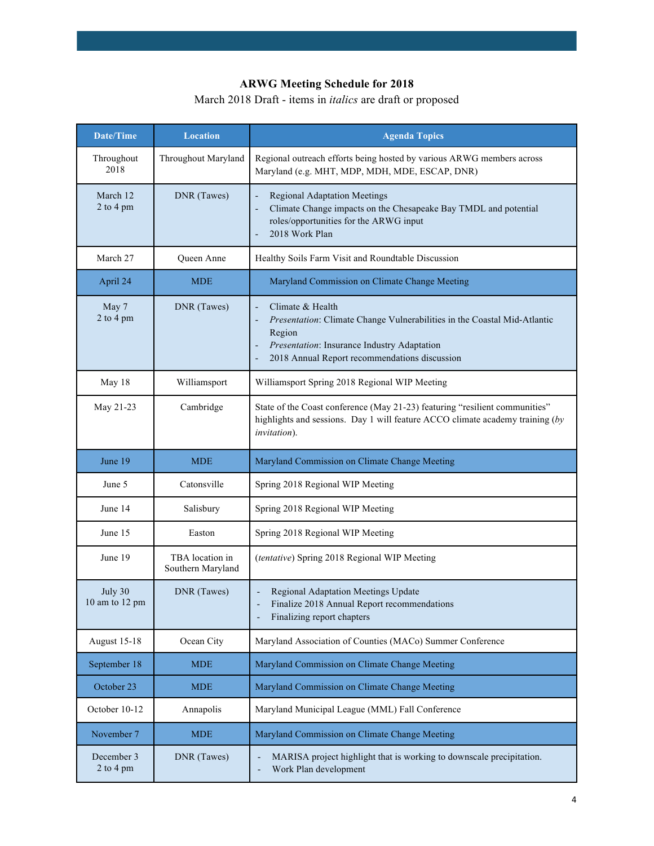# **ARWG Meeting Schedule for 2018**

March 2018 Draft - items in *italics* are draft or proposed

| <b>Date/Time</b>          | <b>Location</b>                      | <b>Agenda Topics</b>                                                                                                                                                                                         |
|---------------------------|--------------------------------------|--------------------------------------------------------------------------------------------------------------------------------------------------------------------------------------------------------------|
| Throughout<br>2018        | Throughout Maryland                  | Regional outreach efforts being hosted by various ARWG members across<br>Maryland (e.g. MHT, MDP, MDH, MDE, ESCAP, DNR)                                                                                      |
| March 12<br>2 to 4 pm     | DNR (Tawes)                          | <b>Regional Adaptation Meetings</b><br>Climate Change impacts on the Chesapeake Bay TMDL and potential<br>roles/opportunities for the ARWG input<br>2018 Work Plan                                           |
| March 27                  | <b>Oueen Anne</b>                    | Healthy Soils Farm Visit and Roundtable Discussion                                                                                                                                                           |
| April 24                  | <b>MDE</b>                           | Maryland Commission on Climate Change Meeting                                                                                                                                                                |
| May 7<br>2 to 4 pm        | DNR (Tawes)                          | Climate & Health<br>L,<br>Presentation: Climate Change Vulnerabilities in the Coastal Mid-Atlantic<br>Region<br>Presentation: Insurance Industry Adaptation<br>2018 Annual Report recommendations discussion |
| May 18                    | Williamsport                         | Williamsport Spring 2018 Regional WIP Meeting                                                                                                                                                                |
| May 21-23                 | Cambridge                            | State of the Coast conference (May 21-23) featuring "resilient communities"<br>highlights and sessions. Day 1 will feature ACCO climate academy training (by<br><i>invitation</i> ).                         |
| June 19                   | <b>MDE</b>                           | Maryland Commission on Climate Change Meeting                                                                                                                                                                |
| June 5                    | Catonsville                          | Spring 2018 Regional WIP Meeting                                                                                                                                                                             |
| June 14                   | Salisbury                            | Spring 2018 Regional WIP Meeting                                                                                                                                                                             |
| June 15                   | Easton                               | Spring 2018 Regional WIP Meeting                                                                                                                                                                             |
| June 19                   | TBA location in<br>Southern Maryland | (tentative) Spring 2018 Regional WIP Meeting                                                                                                                                                                 |
| July 30<br>10 am to 12 pm | DNR (Tawes)                          | <b>Regional Adaptation Meetings Update</b><br>Finalize 2018 Annual Report recommendations<br>Finalizing report chapters                                                                                      |
| August 15-18              | Ocean City                           | Maryland Association of Counties (MACo) Summer Conference                                                                                                                                                    |
| September 18              | <b>MDE</b>                           | Maryland Commission on Climate Change Meeting                                                                                                                                                                |
| October 23                | <b>MDE</b>                           | Maryland Commission on Climate Change Meeting                                                                                                                                                                |
| October 10-12             | Annapolis                            | Maryland Municipal League (MML) Fall Conference                                                                                                                                                              |
| November 7                | <b>MDE</b>                           | Maryland Commission on Climate Change Meeting                                                                                                                                                                |
| December 3<br>2 to 4 pm   | DNR (Tawes)                          | MARISA project highlight that is working to downscale precipitation.<br>Work Plan development<br>$\overline{a}$                                                                                              |